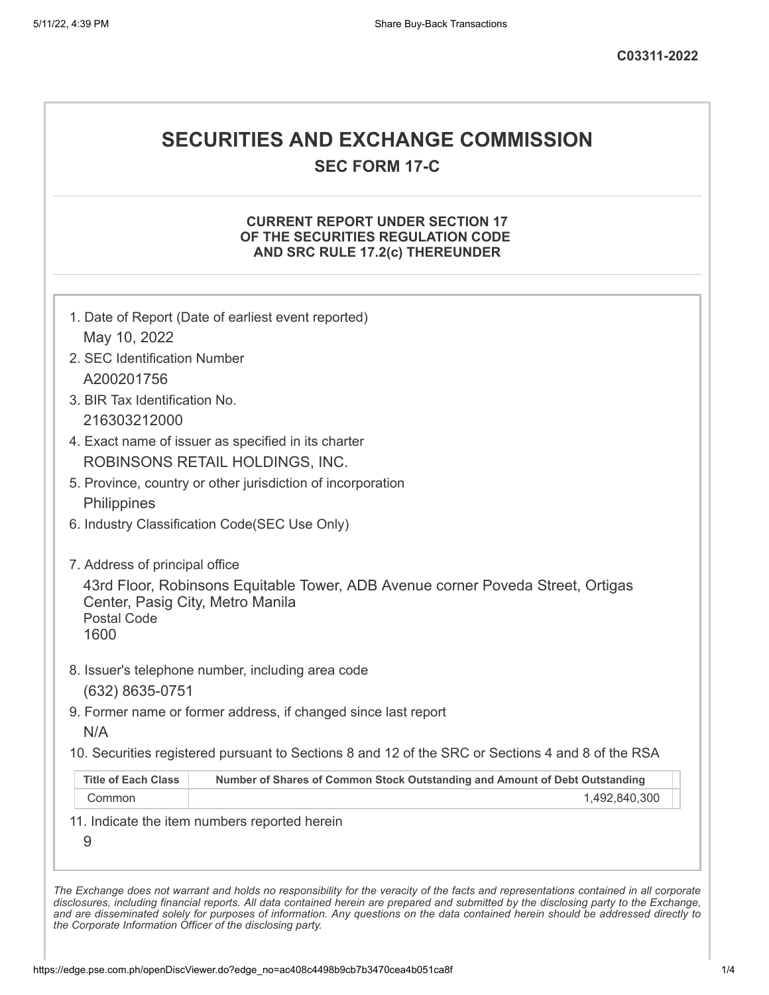# **SECURITIES AND EXCHANGE COMMISSION**

**SEC FORM 17-C**

## **CURRENT REPORT UNDER SECTION 17 OF THE SECURITIES REGULATION CODE AND SRC RULE 17.2(c) THEREUNDER**

| May 10, 2022                                                   |                                                                                                   |
|----------------------------------------------------------------|---------------------------------------------------------------------------------------------------|
| 2. SEC Identification Number                                   |                                                                                                   |
| A200201756                                                     |                                                                                                   |
| 3. BIR Tax Identification No.                                  |                                                                                                   |
| 216303212000                                                   |                                                                                                   |
|                                                                | 4. Exact name of issuer as specified in its charter                                               |
|                                                                | ROBINSONS RETAIL HOLDINGS, INC.                                                                   |
|                                                                | 5. Province, country or other jurisdiction of incorporation                                       |
| Philippines                                                    |                                                                                                   |
|                                                                | 6. Industry Classification Code(SEC Use Only)                                                     |
| 7. Address of principal office                                 |                                                                                                   |
| Center, Pasig City, Metro Manila<br><b>Postal Code</b><br>1600 | 43rd Floor, Robinsons Equitable Tower, ADB Avenue corner Poveda Street, Ortigas                   |
|                                                                | 8. Issuer's telephone number, including area code                                                 |
| (632) 8635-0751                                                |                                                                                                   |
| N/A                                                            | 9. Former name or former address, if changed since last report                                    |
|                                                                | 10. Securities registered pursuant to Sections 8 and 12 of the SRC or Sections 4 and 8 of the RSA |
|                                                                | Number of Shares of Common Stock Outstanding and Amount of Debt Outstanding                       |
| <b>Title of Each Class</b>                                     | 1,492,840,300                                                                                     |
| Common                                                         |                                                                                                   |
| 9                                                              | 11. Indicate the item numbers reported herein                                                     |

*the Corporate Information Officer of the disclosing party.*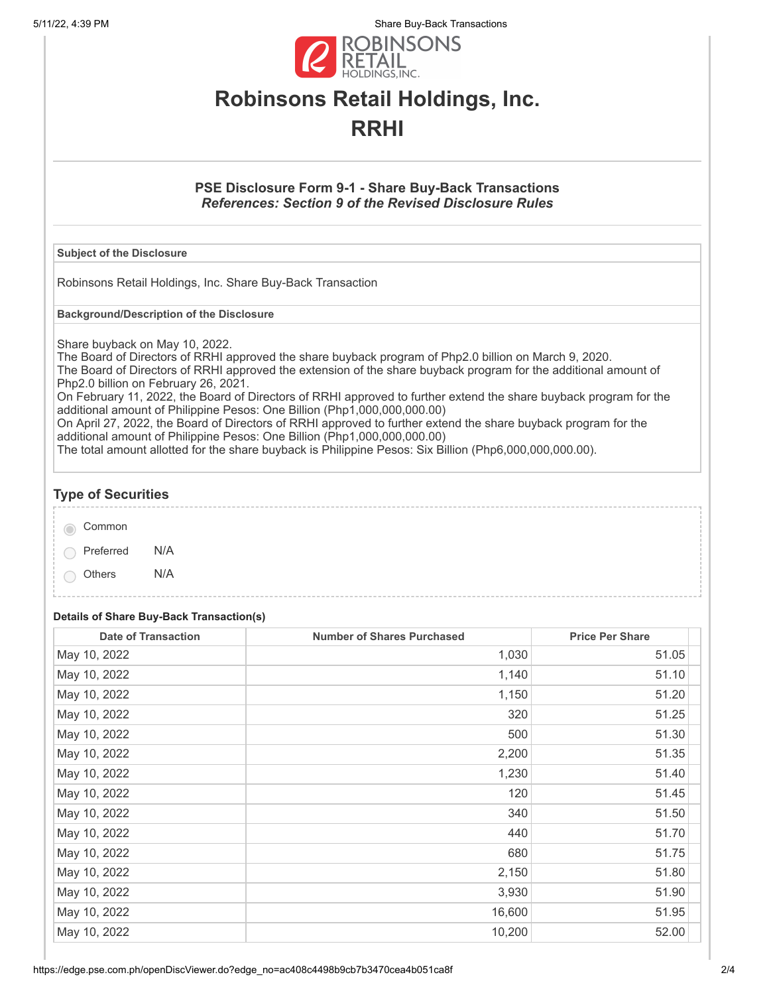5/11/22, 4:39 PM Share Buy-Back Transactions



# **Robinsons Retail Holdings, Inc. RRHI**

## **PSE Disclosure Form 9-1 - Share Buy-Back Transactions** *References: Section 9 of the Revised Disclosure Rules*

#### **Subject of the Disclosure**

Robinsons Retail Holdings, Inc. Share Buy-Back Transaction

**Background/Description of the Disclosure**

Share buyback on May 10, 2022.

The Board of Directors of RRHI approved the share buyback program of Php2.0 billion on March 9, 2020. The Board of Directors of RRHI approved the extension of the share buyback program for the additional amount of Php2.0 billion on February 26, 2021.

On February 11, 2022, the Board of Directors of RRHI approved to further extend the share buyback program for the additional amount of Philippine Pesos: One Billion (Php1,000,000,000.00)

On April 27, 2022, the Board of Directors of RRHI approved to further extend the share buyback program for the additional amount of Philippine Pesos: One Billion (Php1,000,000,000.00)

The total amount allotted for the share buyback is Philippine Pesos: Six Billion (Php6,000,000,000.00).

## **Type of Securities**

| Common |  |
|--------|--|
|        |  |

Preferred N/A

Others N/A

#### **Details of Share Buy-Back Transaction(s)**

| <b>Date of Transaction</b> | <b>Number of Shares Purchased</b> | <b>Price Per Share</b> |
|----------------------------|-----------------------------------|------------------------|
| May 10, 2022               | 1,030                             | 51.05                  |
| May 10, 2022               | 1,140                             | 51.10                  |
| May 10, 2022               | 1,150                             | 51.20                  |
| May 10, 2022               | 320                               | 51.25                  |
| May 10, 2022               | 500                               | 51.30                  |
| May 10, 2022               | 2,200                             | 51.35                  |
| May 10, 2022               | 1,230                             | 51.40                  |
| May 10, 2022               | 120                               | 51.45                  |
| May 10, 2022               | 340                               | 51.50                  |
| May 10, 2022               | 440                               | 51.70                  |
| May 10, 2022               | 680                               | 51.75                  |
| May 10, 2022               | 2,150                             | 51.80                  |
| May 10, 2022               | 3,930                             | 51.90                  |
| May 10, 2022               | 16,600                            | 51.95                  |
| May 10, 2022               | 10,200                            | 52.00                  |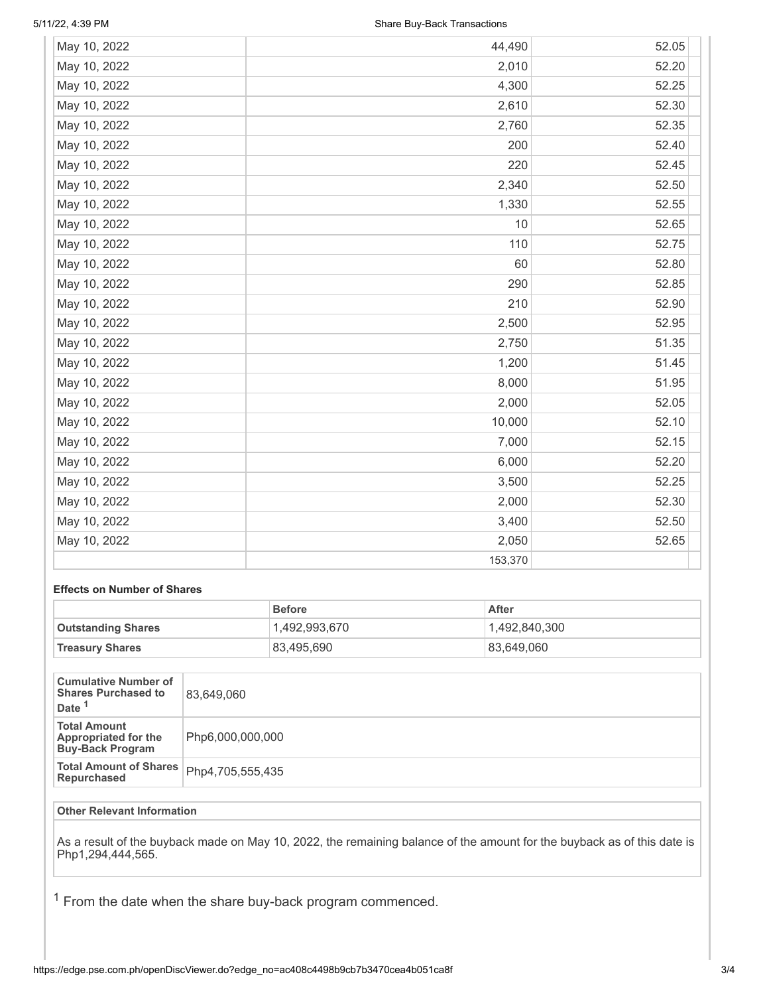| May 10, 2022 | 44,490  | 52.05 |
|--------------|---------|-------|
| May 10, 2022 | 2,010   | 52.20 |
| May 10, 2022 | 4,300   | 52.25 |
| May 10, 2022 | 2,610   | 52.30 |
| May 10, 2022 | 2,760   | 52.35 |
| May 10, 2022 | 200     | 52.40 |
| May 10, 2022 | 220     | 52.45 |
| May 10, 2022 | 2,340   | 52.50 |
| May 10, 2022 | 1,330   | 52.55 |
| May 10, 2022 | 10      | 52.65 |
| May 10, 2022 | 110     | 52.75 |
| May 10, 2022 | 60      | 52.80 |
| May 10, 2022 | 290     | 52.85 |
| May 10, 2022 | 210     | 52.90 |
| May 10, 2022 | 2,500   | 52.95 |
| May 10, 2022 | 2,750   | 51.35 |
| May 10, 2022 | 1,200   | 51.45 |
| May 10, 2022 | 8,000   | 51.95 |
| May 10, 2022 | 2,000   | 52.05 |
| May 10, 2022 | 10,000  | 52.10 |
| May 10, 2022 | 7,000   | 52.15 |
| May 10, 2022 | 6,000   | 52.20 |
| May 10, 2022 | 3,500   | 52.25 |
| May 10, 2022 | 2,000   | 52.30 |
| May 10, 2022 | 3,400   | 52.50 |
| May 10, 2022 | 2,050   | 52.65 |
|              | 153,370 |       |

### **Effects on Number of Shares**

|                           | <b>Before</b> | After         |
|---------------------------|---------------|---------------|
| <b>Outstanding Shares</b> | 1,492,993,670 | 1,492,840,300 |
| <b>Treasury Shares</b>    | 83,495,690    | 83.649.060    |

| <b>Cumulative Number of</b><br><b>Shares Purchased to</b><br>Date <sup>1</sup> | 83.649.060       |
|--------------------------------------------------------------------------------|------------------|
| <b>Total Amount</b><br><b>Appropriated for the</b><br><b>Buy-Back Program</b>  | Php6,000,000,000 |
| <b>Total Amount of Shares</b><br>Repurchased                                   | Php4,705,555,435 |

### **Other Relevant Information**

As a result of the buyback made on May 10, 2022, the remaining balance of the amount for the buyback as of this date is Php1,294,444,565.

 $1$  From the date when the share buy-back program commenced.